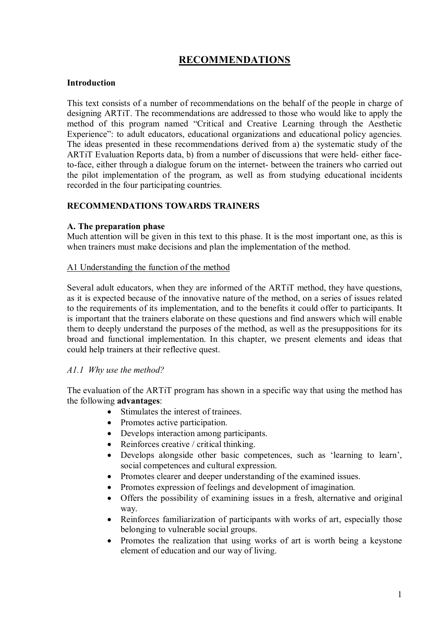# **RECOMMENDATIONS**

#### **Introduction**

This text consists of a number of recommendations on the behalf of the people in charge of designing ARTiT. The recommendations are addressed to those who would like to apply the method of this program named "Critical and Creative Learning through the Aesthetic Experience": to adult educators, educational organizations and educational policy agencies. The ideas presented in these recommendations derived from a) the systematic study of the ARTiT Evaluation Reports data, b) from a number of discussions that were held- either faceto-face, either through a dialogue forum on the internet- between the trainers who carried out the pilot implementation of the program, as well as from studying educational incidents recorded in the four participating countries.

### **RECOMMENDATIONS TOWARDS TRAINERS**

#### **Α. The preparation phase**

Much attention will be given in this text to this phase. It is the most important one, as this is when trainers must make decisions and plan the implementation of the method.

#### Α1 Understanding the function of the method

Several adult educators, when they are informed of the ARTiT method, they have questions, as it is expected because of the innovative nature of the method, on a series of issues related to the requirements of its implementation, and to the benefits it could offer to participants. It is important that the trainers elaborate on these questions and find answers which will enable them to deeply understand the purposes of the method, as well as the presuppositions for its broad and functional implementation. In this chapter, we present elements and ideas that could help trainers at their reflective quest.

#### *Α1.1 Why use the method?*

The evaluation of the ARTiT program has shown in a specific way that using the method has the following **advantages**:

- Stimulates the interest of trainees.
- Promotes active participation.
- Develops interaction among participants.
- Reinforces creative / critical thinking.
- Develops alongside other basic competences, such as 'learning to learn', social competences and cultural expression.
- Promotes clearer and deeper understanding of the examined issues.
- Promotes expression of feelings and development of imagination.
- Offers the possibility of examining issues in a fresh, alternative and original way.
- Reinforces familiarization of participants with works of art, especially those belonging to vulnerable social groups.
- Promotes the realization that using works of art is worth being a keystone element of education and our way of living.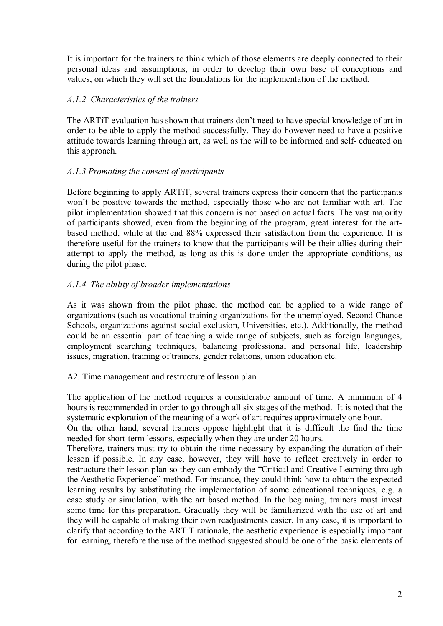It is important for the trainers to think which of those elements are deeply connected to their personal ideas and assumptions, in order to develop their own base of conceptions and values, on which they will set the foundations for the implementation of the method.

### *Α.1.2 Characteristics of the trainers*

The ARTiT evaluation has shown that trainers don't need to have special knowledge of art in order to be able to apply the method successfully. They do however need to have a positive attitude towards learning through art, as well as the will to be informed and self- educated on this approach.

## *Α.1.3 Promoting the consent of participants*

Before beginning to apply ARTiT, several trainers express their concern that the participants won't be positive towards the method, especially those who are not familiar with art. The pilot implementation showed that this concern is not based on actual facts. The vast majority of participants showed, even from the beginning of the program, great interest for the artbased method, while at the end 88% expressed their satisfaction from the experience. It is therefore useful for the trainers to know that the participants will be their allies during their attempt to apply the method, as long as this is done under the appropriate conditions, as during the pilot phase.

## *Α.1.4 The ability of broader implementations*

As it was shown from the pilot phase, the method can be applied to a wide range of organizations (such as vocational training organizations for the unemployed, Second Chance Schools, organizations against social exclusion, Universities, etc.). Additionally, the method could be an essential part of teaching a wide range of subjects, such as foreign languages, employment searching techniques, balancing professional and personal life, leadership issues, migration, training of trainers, gender relations, union education etc.

### Α2. Time management and restructure of lesson plan

The application of the method requires a considerable amount of time. A minimum of 4 hours is recommended in order to go through all six stages of the method. It is noted that the systematic exploration of the meaning of a work of art requires approximately one hour.

On the other hand, several trainers oppose highlight that it is difficult the find the time needed for short-term lessons, especially when they are under 20 hours.

Therefore, trainers must try to obtain the time necessary by expanding the duration of their lesson if possible. In any case, however, they will have to reflect creatively in order to restructure their lesson plan so they can embody the "Critical and Creative Learning through the Aesthetic Experience" method. For instance, they could think how to obtain the expected learning results by substituting the implementation of some educational techniques, e.g. a case study or simulation, with the art based method. In the beginning, trainers must invest some time for this preparation. Gradually they will be familiarized with the use of art and they will be capable of making their own readjustments easier. In any case, it is important to clarify that according to the ARTiT rationale, the aesthetic experience is especially important for learning, therefore the use of the method suggested should be one of the basic elements of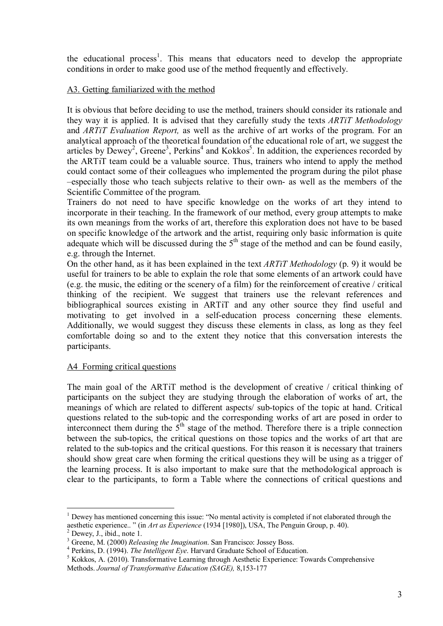the educational process<sup>1</sup>. This means that educators need to develop the appropriate conditions in order to make good use of the method frequently and effectively.

#### Α3. Getting familiarized with the method

It is obvious that before deciding to use the method, trainers should consider its rationale and they way it is applied. It is advised that they carefully study the texts *ARTiT Methodology* and *ARTiT Evaluation Report,* as well as the archive of art works of the program. For an analytical approach of the theoretical foundation of the educational role of art, we suggest the articles by Dewey<sup>2</sup>, Greene<sup>3</sup>, Perkins<sup>4</sup> and Kokkos<sup>5</sup>. In addition, the experiences recorded by the ARTiT team could be a valuable source. Thus, trainers who intend to apply the method could contact some of their colleagues who implemented the program during the pilot phase –especially those who teach subjects relative to their own- as well as the members of the Scientific Committee of the program.

Trainers do not need to have specific knowledge on the works of art they intend to incorporate in their teaching. In the framework of our method, every group attempts to make its own meanings from the works of art, therefore this exploration does not have to be based on specific knowledge of the artwork and the artist, requiring only basic information is quite adequate which will be discussed during the  $5<sup>th</sup>$  stage of the method and can be found easily, e.g. through the Internet.

On the other hand, as it has been explained in the text *ARTiT Methodology* (p. 9) it would be useful for trainers to be able to explain the role that some elements of an artwork could have (e.g. the music, the editing or the scenery of a film) for the reinforcement of creative / critical thinking of the recipient. We suggest that trainers use the relevant references and bibliographical sources existing in ARTiT and any other source they find useful and motivating to get involved in a self-education process concerning these elements. Additionally, we would suggest they discuss these elements in class, as long as they feel comfortable doing so and to the extent they notice that this conversation interests the participants.

#### Α4 Forming critical questions

The main goal of the ARTiT method is the development of creative / critical thinking of participants on the subject they are studying through the elaboration of works of art, the meanings of which are related to different aspects/ sub-topics of the topic at hand. Critical questions related to the sub-topic and the corresponding works of art are posed in order to interconnect them during the  $5<sup>th</sup>$  stage of the method. Therefore there is a triple connection between the sub-topics, the critical questions on those topics and the works of art that are related to the sub-topics and the critical questions. For this reason it is necessary that trainers should show great care when forming the critical questions they will be using as a trigger of the learning process. It is also important to make sure that the methodological approach is clear to the participants, to form a Table where the connections of critical questions and

 $\overline{a}$ 

 $<sup>1</sup>$  Dewey has mentioned concerning this issue: "No mental activity is completed if not elaborated through the</sup> aesthetic experience.. " (in *Art as Experience* (1934 [1980]), USA, The Penguin Group, p. 40).

 $2$  Dewey, J., ibid., note 1.

<sup>3</sup> Greene, M. (2000) *Releasing the Imagination*. San Francisco: Jossey Boss.

<sup>4</sup> Perkins, D. (1994). *The Intelligent Eye*. Harvard Graduate School of Education.

<sup>5</sup> Kokkos, Α. (2010). Transformative Learning through Aesthetic Experience: Towards Comprehensive

Methods. *Journal of Transformative Education (SAGE),* 8,153-177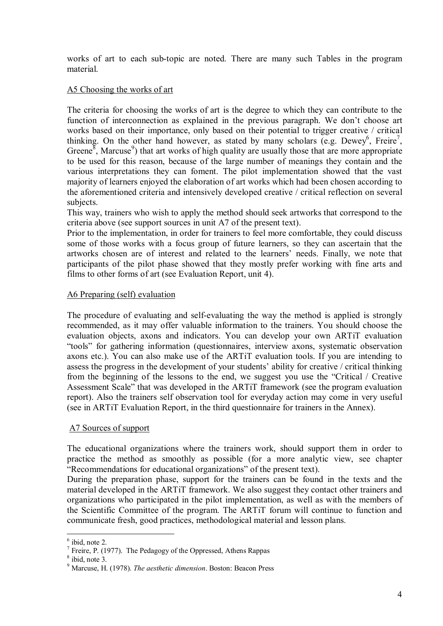works of art to each sub-topic are noted. There are many such Tables in the program material.

#### Α5 Choosing the works of art

The criteria for choosing the works of art is the degree to which they can contribute to the function of interconnection as explained in the previous paragraph. We don't choose art works based on their importance, only based on their potential to trigger creative / critical thinking. On the other hand however, as stated by many scholars (e.g. Dewey<sup>6</sup>, Freire<sup>7</sup>, Greene<sup>8</sup>, Marcuse<sup>9</sup>) that art works of high quality are usually those that are more appropriate to be used for this reason, because of the large number of meanings they contain and the various interpretations they can foment. The pilot implementation showed that the vast majority of learners enjoyed the elaboration of art works which had been chosen according to the aforementioned criteria and intensively developed creative / critical reflection on several subjects.

This way, trainers who wish to apply the method should seek artworks that correspond to the criteria above (see support sources in unit A7 of the present text).

Prior to the implementation, in order for trainers to feel more comfortable, they could discuss some of those works with a focus group of future learners, so they can ascertain that the artworks chosen are of interest and related to the learners' needs. Finally, we note that participants of the pilot phase showed that they mostly prefer working with fine arts and films to other forms of art (see Evaluation Report, unit 4).

#### Α6 Preparing (self) evaluation

The procedure of evaluating and self-evaluating the way the method is applied is strongly recommended, as it may offer valuable information to the trainers. You should choose the evaluation objects, axons and indicators. You can develop your own ARTiT evaluation "tools" for gathering information (questionnaires, interview axons, systematic observation axons etc.). You can also make use of the ARTiT evaluation tools. If you are intending to assess the progress in the development of your students' ability for creative / critical thinking from the beginning of the lessons to the end, we suggest you use the "Critical / Creative Assessment Scale" that was developed in the ARTiT framework (see the program evaluation report). Also the trainers self observation tool for everyday action may come in very useful (see in ARTiT Evaluation Report, in the third questionnaire for trainers in the Annex).

### Α7 Sources of support

The educational organizations where the trainers work, should support them in order to practice the method as smoothly as possible (for a more analytic view, see chapter "Recommendations for educational organizations" of the present text).

During the preparation phase, support for the trainers can be found in the texts and the material developed in the ARTiT framework. We also suggest they contact other trainers and organizations who participated in the pilot implementation, as well as with the members of the Scientific Committee of the program. The ARTiT forum will continue to function and communicate fresh, good practices, methodological material and lesson plans.

 $\frac{6}{6}$  ibid, note 2.

<sup>&</sup>lt;sup>7</sup> Freire, P. (1977). The Pedagogy of the Oppressed, Athens Rappas

<sup>8</sup> ibid, note 3.

<sup>9</sup> Marcuse, H. (1978). *The aesthetic dimension*. Boston: Beacon Press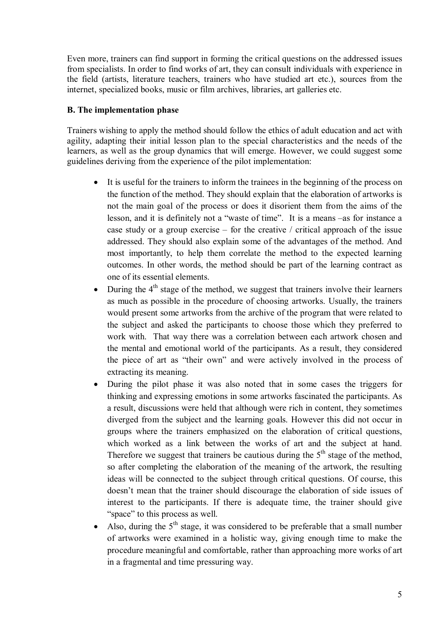Even more, trainers can find support in forming the critical questions on the addressed issues from specialists. In order to find works of art, they can consult individuals with experience in the field (artists, literature teachers, trainers who have studied art etc.), sources from the internet, specialized books, music or film archives, libraries, art galleries etc.

### **Β. The implementation phase**

Trainers wishing to apply the method should follow the ethics of adult education and act with agility, adapting their initial lesson plan to the special characteristics and the needs of the learners, as well as the group dynamics that will emerge. However, we could suggest some guidelines deriving from the experience of the pilot implementation:

- It is useful for the trainers to inform the trainees in the beginning of the process on the function of the method. They should explain that the elaboration of artworks is not the main goal of the process or does it disorient them from the aims of the lesson, and it is definitely not a "waste of time". It is a means –as for instance a case study or a group exercise – for the creative / critical approach of the issue addressed. They should also explain some of the advantages of the method. And most importantly, to help them correlate the method to the expected learning outcomes. In other words, the method should be part of the learning contract as one of its essential elements.
- $\bullet$  During the 4<sup>th</sup> stage of the method, we suggest that trainers involve their learners as much as possible in the procedure of choosing artworks. Usually, the trainers would present some artworks from the archive of the program that were related to the subject and asked the participants to choose those which they preferred to work with. That way there was a correlation between each artwork chosen and the mental and emotional world of the participants. As a result, they considered the piece of art as "their own" and were actively involved in the process of extracting its meaning.
- During the pilot phase it was also noted that in some cases the triggers for thinking and expressing emotions in some artworks fascinated the participants. As a result, discussions were held that although were rich in content, they sometimes diverged from the subject and the learning goals. However this did not occur in groups where the trainers emphasized on the elaboration of critical questions, which worked as a link between the works of art and the subject at hand. Therefore we suggest that trainers be cautious during the  $5<sup>th</sup>$  stage of the method, so after completing the elaboration of the meaning of the artwork, the resulting ideas will be connected to the subject through critical questions. Of course, this doesn't mean that the trainer should discourage the elaboration of side issues of interest to the participants. If there is adequate time, the trainer should give "space" to this process as well.
- Also, during the  $5<sup>th</sup>$  stage, it was considered to be preferable that a small number of artworks were examined in a holistic way, giving enough time to make the procedure meaningful and comfortable, rather than approaching more works of art in a fragmental and time pressuring way.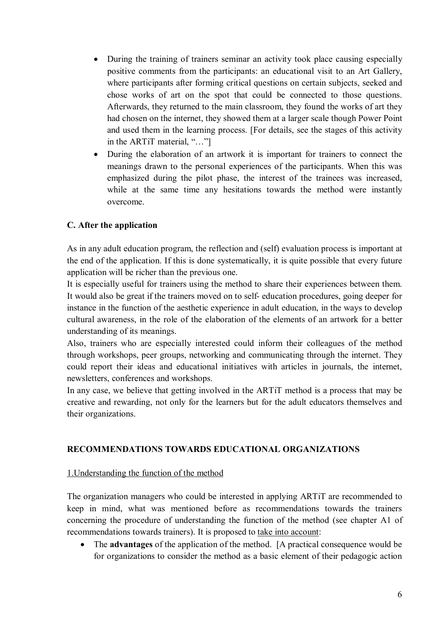- During the training of trainers seminar an activity took place causing especially positive comments from the participants: an educational visit to an Art Gallery, where participants after forming critical questions on certain subjects, seeked and chose works of art on the spot that could be connected to those questions. Afterwards, they returned to the main classroom, they found the works of art they had chosen on the internet, they showed them at a larger scale though Power Point and used them in the learning process. [For details, see the stages of this activity in the ARTiT material, "…"]
- During the elaboration of an artwork it is important for trainers to connect the meanings drawn to the personal experiences of the participants. When this was emphasized during the pilot phase, the interest of the trainees was increased, while at the same time any hesitations towards the method were instantly overcome.

## **C. After the application**

As in any adult education program, the reflection and (self) evaluation process is important at the end of the application. If this is done systematically, it is quite possible that every future application will be richer than the previous one.

It is especially useful for trainers using the method to share their experiences between them. It would also be great if the trainers moved on to self- education procedures, going deeper for instance in the function of the aesthetic experience in adult education, in the ways to develop cultural awareness, in the role of the elaboration of the elements of an artwork for a better understanding of its meanings.

Also, trainers who are especially interested could inform their colleagues of the method through workshops, peer groups, networking and communicating through the internet. They could report their ideas and educational initiatives with articles in journals, the internet, newsletters, conferences and workshops.

In any case, we believe that getting involved in the ARTiT method is a process that may be creative and rewarding, not only for the learners but for the adult educators themselves and their organizations.

### **RECOMMENDATIONS TOWARDS EDUCATIONAL ORGANIZATIONS**

#### 1.Understanding the function of the method

The organization managers who could be interested in applying ARTiT are recommended to keep in mind, what was mentioned before as recommendations towards the trainers concerning the procedure of understanding the function of the method (see chapter A1 of recommendations towards trainers). It is proposed to take into account:

 The **advantages** of the application of the method. [A practical consequence would be for organizations to consider the method as a basic element of their pedagogic action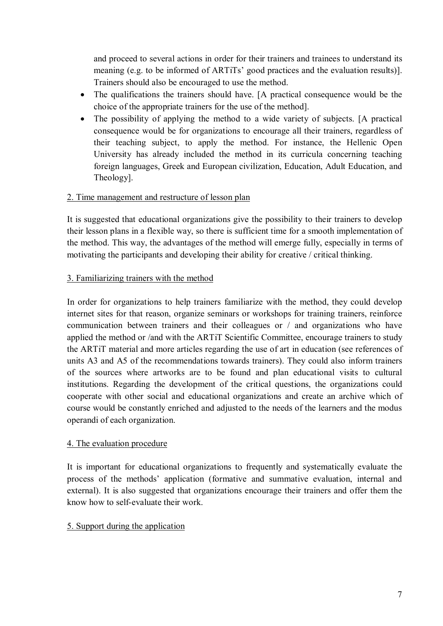and proceed to several actions in order for their trainers and trainees to understand its meaning (e.g. to be informed of ARTiTs' good practices and the evaluation results)]. Trainers should also be encouraged to use the method.

- The qualifications the trainers should have. [A practical consequence would be the choice of the appropriate trainers for the use of the method].
- The possibility of applying the method to a wide variety of subjects. [A practical consequence would be for organizations to encourage all their trainers, regardless of their teaching subject, to apply the method. For instance, the Hellenic Open University has already included the method in its curricula concerning teaching foreign languages, Greek and European civilization, Education, Adult Education, and Theology].

# 2. Time management and restructure of lesson plan

It is suggested that educational organizations give the possibility to their trainers to develop their lesson plans in a flexible way, so there is sufficient time for a smooth implementation of the method. This way, the advantages of the method will emerge fully, especially in terms of motivating the participants and developing their ability for creative / critical thinking.

## 3. Familiarizing trainers with the method

In order for organizations to help trainers familiarize with the method, they could develop internet sites for that reason, organize seminars or workshops for training trainers, reinforce communication between trainers and their colleagues or / and organizations who have applied the method or /and with the ARTiT Scientific Committee, encourage trainers to study the ARTiT material and more articles regarding the use of art in education (see references of units A3 and A5 of the recommendations towards trainers). They could also inform trainers of the sources where artworks are to be found and plan educational visits to cultural institutions. Regarding the development of the critical questions, the organizations could cooperate with other social and educational organizations and create an archive which of course would be constantly enriched and adjusted to the needs of the learners and the modus operandi of each organization.

### 4. The evaluation procedure

It is important for educational organizations to frequently and systematically evaluate the process of the methods' application (formative and summative evaluation, internal and external). It is also suggested that organizations encourage their trainers and offer them the know how to self-evaluate their work.

# 5. Support during the application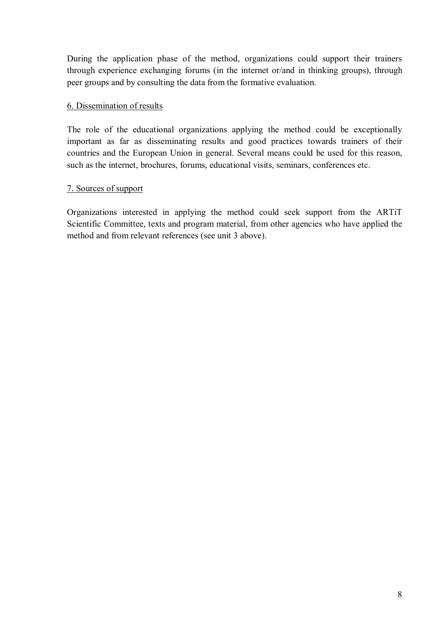During the application phase of the method, organizations could support their trainers through experience exchanging forums (in the internet or/and in thinking groups), through peer groups and by consulting the data from the formative evaluation.

### 6. Dissemination of results

The role of the educational organizations applying the method could be exceptionally important as far as disseminating results and good practices towards trainers of their countries and the European Union in general. Several means could be used for this reason, such as the internet, brochures, forums, educational visits, seminars, conferences etc.

## 7. Sources of support

Organizations interested in applying the method could seek support from the ARTiT Scientific Committee, texts and program material, from other agencies who have applied the method and from relevant references (see unit 3 above).